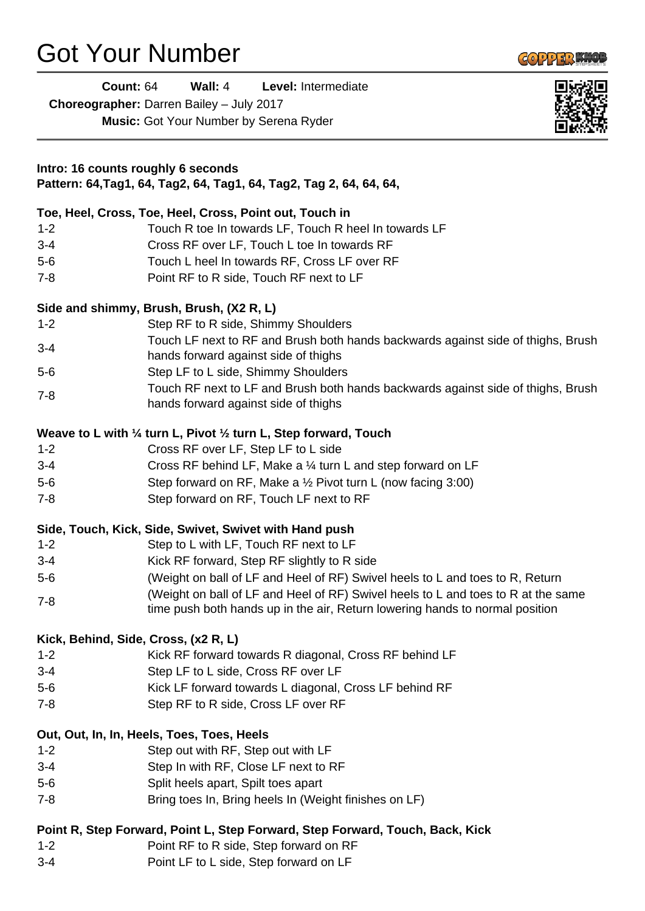# Got Your Number

L.

**Count:** 64 **Wall:** 4 **Level:** Intermediate

| Choreographer: Darren Bailey - July 2017 |                                                                                                                                                                   |  |
|------------------------------------------|-------------------------------------------------------------------------------------------------------------------------------------------------------------------|--|
|                                          | <b>Music:</b> Got Your Number by Serena Ryder                                                                                                                     |  |
|                                          | Intro: 16 counts roughly 6 seconds                                                                                                                                |  |
|                                          | Pattern: 64,Tag1, 64, Tag2, 64, Tag1, 64, Tag2, Tag 2, 64, 64, 64,                                                                                                |  |
|                                          | Toe, Heel, Cross, Toe, Heel, Cross, Point out, Touch in                                                                                                           |  |
| $1 - 2$                                  | Touch R toe In towards LF, Touch R heel In towards LF                                                                                                             |  |
| $3 - 4$                                  | Cross RF over LF, Touch L toe In towards RF                                                                                                                       |  |
| $5-6$                                    | Touch L heel In towards RF, Cross LF over RF                                                                                                                      |  |
| $7 - 8$                                  | Point RF to R side, Touch RF next to LF                                                                                                                           |  |
|                                          | Side and shimmy, Brush, Brush, (X2 R, L)                                                                                                                          |  |
| $1 - 2$                                  | Step RF to R side, Shimmy Shoulders                                                                                                                               |  |
| $3 - 4$                                  | Touch LF next to RF and Brush both hands backwards against side of thighs, Brush<br>hands forward against side of thighs                                          |  |
| $5-6$                                    | Step LF to L side, Shimmy Shoulders                                                                                                                               |  |
| $7 - 8$                                  | Touch RF next to LF and Brush both hands backwards against side of thighs, Brush<br>hands forward against side of thighs                                          |  |
|                                          | Weave to L with $\frac{1}{4}$ turn L, Pivot $\frac{1}{2}$ turn L, Step forward, Touch                                                                             |  |
| $1 - 2$                                  | Cross RF over LF, Step LF to L side                                                                                                                               |  |
| $3 - 4$                                  | Cross RF behind LF, Make a 1/4 turn L and step forward on LF                                                                                                      |  |
| $5-6$                                    | Step forward on RF, Make a $\frac{1}{2}$ Pivot turn L (now facing 3:00)                                                                                           |  |
| $7 - 8$                                  | Step forward on RF, Touch LF next to RF                                                                                                                           |  |
|                                          | Side, Touch, Kick, Side, Swivet, Swivet with Hand push                                                                                                            |  |
| $1 - 2$                                  | Step to L with LF, Touch RF next to LF                                                                                                                            |  |
| $3 - 4$                                  | Kick RF forward, Step RF slightly to R side                                                                                                                       |  |
| $5-6$                                    | (Weight on ball of LF and Heel of RF) Swivel heels to L and toes to R, Return                                                                                     |  |
| $7 - 8$                                  | (Weight on ball of LF and Heel of RF) Swivel heels to L and toes to R at the same<br>time push both hands up in the air, Return lowering hands to normal position |  |
|                                          | Kick, Behind, Side, Cross, (x2 R, L)                                                                                                                              |  |
| $1 - 2$                                  | Kick RF forward towards R diagonal, Cross RF behind LF                                                                                                            |  |
| $3 - 4$                                  | Step LF to L side, Cross RF over LF                                                                                                                               |  |
| $5-6$                                    | Kick LF forward towards L diagonal, Cross LF behind RF                                                                                                            |  |
| $7 - 8$                                  | Step RF to R side, Cross LF over RF                                                                                                                               |  |
|                                          | Out, Out, In, In, Heels, Toes, Toes, Heels                                                                                                                        |  |
| $1 - 2$                                  | Step out with RF, Step out with LF                                                                                                                                |  |
| $3-4$                                    | Step In with RF, Close LF next to RF                                                                                                                              |  |
| $5-6$                                    | Split heels apart, Spilt toes apart                                                                                                                               |  |
| $7 - 8$                                  | Bring toes In, Bring heels In (Weight finishes on LF)                                                                                                             |  |
|                                          | Point R, Step Forward, Point L, Step Forward, Step Forward, Touch, Back, Kick                                                                                     |  |
| $1 - 2$                                  | Point RF to R side, Step forward on RF                                                                                                                            |  |

3-4 Point LF to L side, Step forward on LF